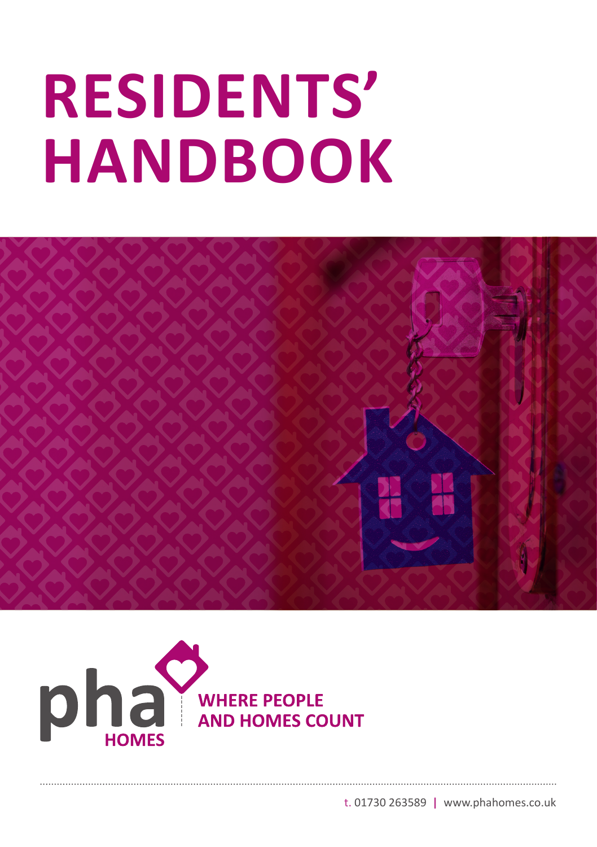# **RESIDENTS' HANDBOOK**





t. 01730 263589 **|** www.phahomes.co.uk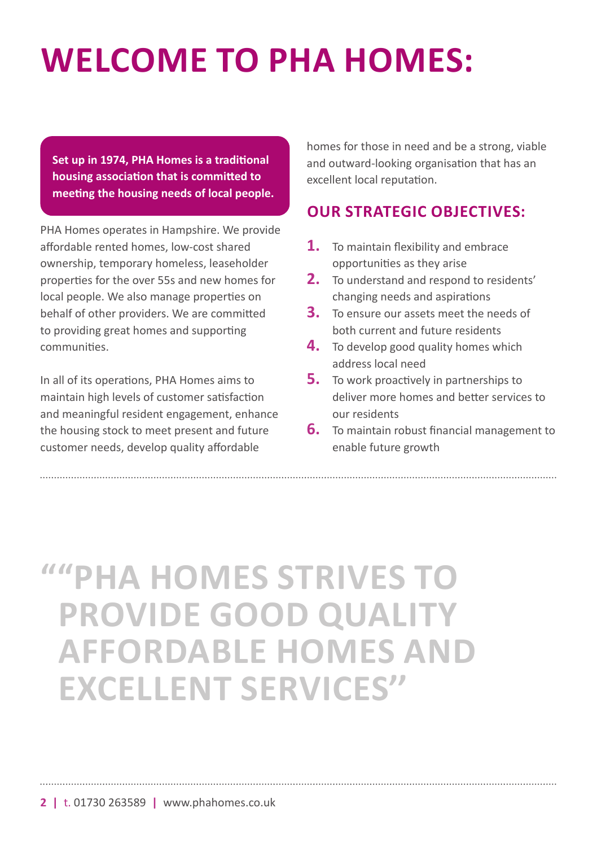# **WELCOME TO PHA HOMES:**

**Set up in 1974, PHA Homes is a traditional housing association that is committed to meeting the housing needs of local people.**

PHA Homes operates in Hampshire. We provide affordable rented homes, low-cost shared ownership, temporary homeless, leaseholder properties for the over 55s and new homes for local people. We also manage properties on behalf of other providers. We are committed to providing great homes and supporting communities.

In all of its operations, PHA Homes aims to maintain high levels of customer satisfaction and meaningful resident engagement, enhance the housing stock to meet present and future customer needs, develop quality affordable

homes for those in need and be a strong, viable and outward-looking organisation that has an excellent local reputation.

### **OUR STRATEGIC OBJECTIVES:**

- **1.** To maintain flexibility and embrace opportunities as they arise
- **2.** To understand and respond to residents' changing needs and aspirations
- **3.** To ensure our assets meet the needs of both current and future residents
- **4.** To develop good quality homes which address local need
- **5.** To work proactively in partnerships to deliver more homes and better services to our residents
- **6.** To maintain robust financial management to enable future growth

# **"PHA HOMES STRIVES TO " PROVIDE GOOD QUALITY AFFORDABLE HOMES AND EXCELLENT SERVICES''**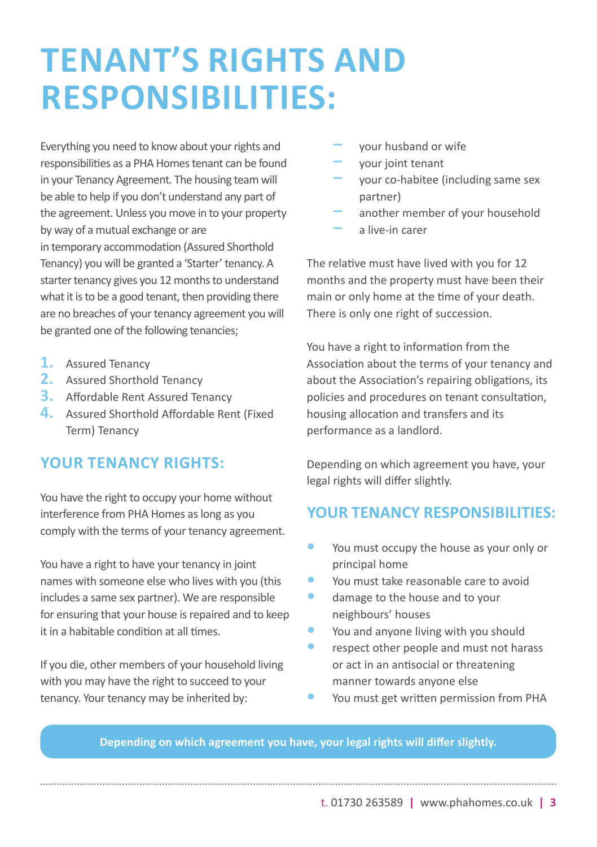# **TENANT'S RIGHTS AND RESPONSIBILITIES:**

Everything you need to know about your rights and responsibilities as a PHA Homes tenant can be found in your Tenancy Agreement. The housing team will be able to help if you don't understand any part of the agreement. Unless you move in to your property by way of a mutual exchange or are in temporary accommodation (Assured Shorthold Tenancy) you will be granted a 'Starter' tenancy. A starter tenancy gives you 12 months to understand what it is to be a good tenant, then providing there are no breaches of your tenancy agreement you will be granted one of the following tenancies;

- **1.** Assured Tenancy
- **2.** Assured Shorthold Tenancy
- **3.** Affordable Rent Assured Tenancy
- **4.** Assured Shorthold Affordable Rent (Fixed Term) Tenancy

#### **YOUR TENANCY RIGHTS:**

You have the right to occupy your home without interference from PHA Homes as long as you comply with the terms of your tenancy agreement.

You have a right to have your tenancy in joint names with someone else who lives with you (this includes a same sex partner). We are responsible for ensuring that your house is repaired and to keep it in a habitable condition at all times.

If you die, other members of your household living with you may have the right to succeed to your tenancy. Your tenancy may be inherited by:

- **͵** your husband or wife
- **͵** your joint tenant
- **͵** your co-habitee (including same sex partner)
- **͵** another member of your household **͵** a live-in carer

The relative must have lived with you for 12 months and the property must have been their main or only home at the time of your death. There is only one right of succession.

You have a right to information from the Association about the terms of your tenancy and about the Association's repairing obligations, its policies and procedures on tenant consultation, housing allocation and transfers and its performance as a landlord.

Depending on which agreement you have, your legal rights will differ slightly.

#### **YOUR TENANCY RESPONSIBILITIES:**

- **•** You must occupy the house as your only or principal home
- **•** You must take reasonable care to avoid
- **•** damage to the house and to your neighbours' houses
- **•** You and anyone living with you should
- **•** respect other people and must not harass or act in an antisocial or threatening manner towards anyone else
- **•** You must get written permission from PHA

#### **Depending on which agreement you have, your legal rights will differ slightly.**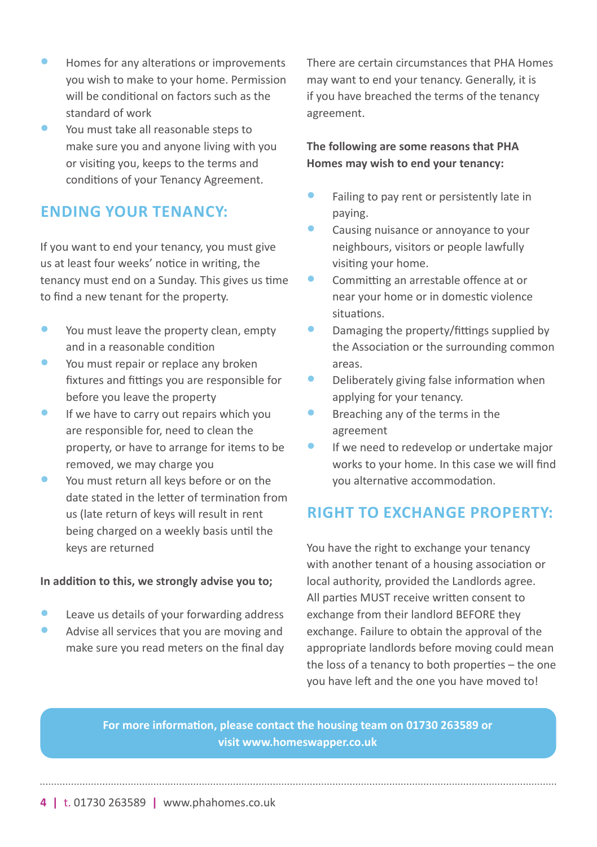- **•** Homes for any alterations or improvements you wish to make to your home. Permission will be conditional on factors such as the standard of work
- **•** You must take all reasonable steps to make sure you and anyone living with you or visiting you, keeps to the terms and conditions of your Tenancy Agreement.

### **ENDING YOUR TENANCY:**

If you want to end your tenancy, you must give us at least four weeks' notice in writing, the tenancy must end on a Sunday. This gives us time to find a new tenant for the property.

- You must leave the property clean, empty and in a reasonable condition
- You must repair or replace any broken fixtures and fittings you are responsible for before you leave the property
- **•** If we have to carry out repairs which you are responsible for, need to clean the property, or have to arrange for items to be removed, we may charge you
- **•** You must return all keys before or on the date stated in the letter of termination from us (late return of keys will result in rent being charged on a weekly basis until the keys are returned

#### **In addition to this, we strongly advise you to;**

- **•** Leave us details of your forwarding address
- **•** Advise all services that you are moving and make sure you read meters on the final day

There are certain circumstances that PHA Homes may want to end your tenancy. Generally, it is if you have breached the terms of the tenancy agreement.

#### **The following are some reasons that PHA Homes may wish to end your tenancy:**

- **•** Failing to pay rent or persistently late in paying.
- **•** Causing nuisance or annoyance to your neighbours, visitors or people lawfully visiting your home.
- **•** Committing an arrestable offence at or near your home or in domestic violence situations.
- **•** Damaging the property/fittings supplied by the Association or the surrounding common areas.
- **•** Deliberately giving false information when applying for your tenancy.
- **•** Breaching any of the terms in the agreement
- **•** If we need to redevelop or undertake major works to your home. In this case we will find you alternative accommodation.

# **RIGHT TO EXCHANGE PROPERTY:**

You have the right to exchange your tenancy with another tenant of a housing association or local authority, provided the Landlords agree. All parties MUST receive written consent to exchange from their landlord BEFORE they exchange. Failure to obtain the approval of the appropriate landlords before moving could mean the loss of a tenancy to both properties – the one you have left and the one you have moved to!

**For more information, please contact the housing team on 01730 263589 or visit www.homeswapper.co.uk**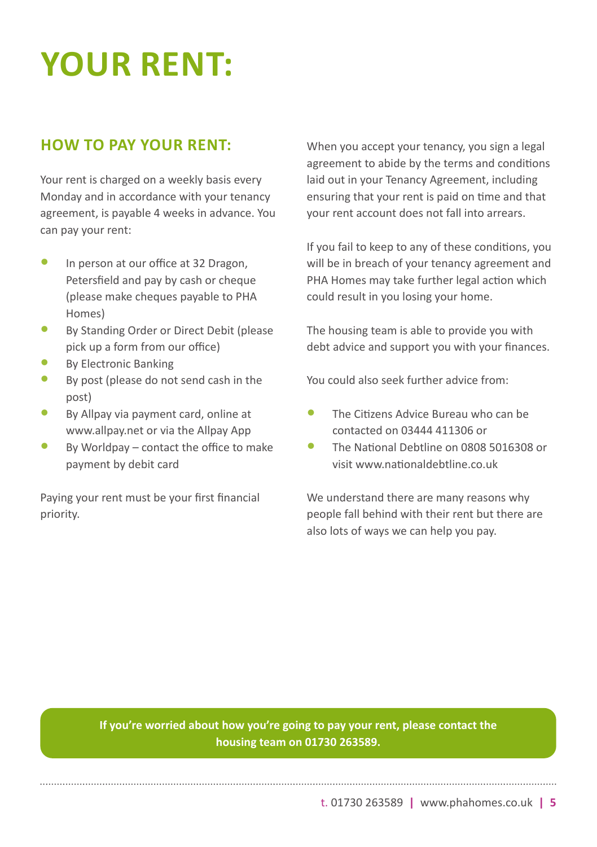# **YOUR RENT:**

### **HOW TO PAY YOUR RENT:**

Your rent is charged on a weekly basis every Monday and in accordance with your tenancy agreement, is payable 4 weeks in advance. You can pay your rent:

- **•** In person at our office at 32 Dragon, Petersfield and pay by cash or cheque (please make cheques payable to PHA Homes)
- **•** By Standing Order or Direct Debit (please pick up a form from our office)
- **•** By Electronic Banking
- **•** By post (please do not send cash in the post)
- **•** By Allpay via payment card, online at www.allpay.net or via the Allpay App
- **•** By Worldpay contact the office to make payment by debit card

Paying your rent must be your first financial priority.

When you accept your tenancy, you sign a legal agreement to abide by the terms and conditions laid out in your Tenancy Agreement, including ensuring that your rent is paid on time and that your rent account does not fall into arrears.

If you fail to keep to any of these conditions, you will be in breach of your tenancy agreement and PHA Homes may take further legal action which could result in you losing your home.

The housing team is able to provide you with debt advice and support you with your finances.

You could also seek further advice from:

- **•** The Citizens Advice Bureau who can be contacted on 03444 411306 or
- **•** The National Debtline on 0808 5016308 or visit www.nationaldebtline.co.uk

We understand there are many reasons why people fall behind with their rent but there are also lots of ways we can help you pay.

**If you're worried about how you're going to pay your rent, please contact the housing team on 01730 263589.**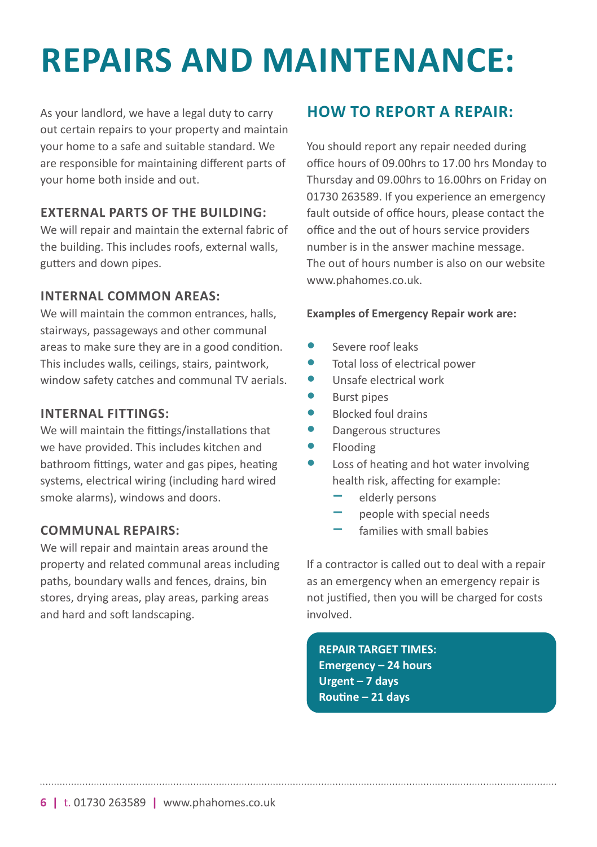# **REPAIRS AND MAINTENANCE:**

As your landlord, we have a legal duty to carry out certain repairs to your property and maintain your home to a safe and suitable standard. We are responsible for maintaining different parts of your home both inside and out.

#### **EXTERNAL PARTS OF THE BUILDING:**

We will repair and maintain the external fabric of the building. This includes roofs, external walls, gutters and down pipes.

#### **INTERNAL COMMON AREAS:**

We will maintain the common entrances, halls, stairways, passageways and other communal areas to make sure they are in a good condition. This includes walls, ceilings, stairs, paintwork, window safety catches and communal TV aerials.

#### **INTERNAL FITTINGS:**

We will maintain the fittings/installations that we have provided. This includes kitchen and bathroom fittings, water and gas pipes, heating systems, electrical wiring (including hard wired smoke alarms), windows and doors.

#### **COMMUNAL REPAIRS:**

We will repair and maintain areas around the property and related communal areas including paths, boundary walls and fences, drains, bin stores, drying areas, play areas, parking areas and hard and soft landscaping.

# **HOW TO REPORT A REPAIR:**

You should report any repair needed during office hours of 09.00hrs to 17.00 hrs Monday to Thursday and 09.00hrs to 16.00hrs on Friday on 01730 263589. If you experience an emergency fault outside of office hours, please contact the office and the out of hours service providers number is in the answer machine message. The out of hours number is also on our website www.phahomes.co.uk

#### **Examples of Emergency Repair work are:**

- **•** Severe roof leaks
- **•** Total loss of electrical power
- **•** Unsafe electrical work
- **•** Burst pipes
- **•** Blocked foul drains
- **•** Dangerous structures
- **•** Flooding
- **•** Loss of heating and hot water involving health risk, affecting for example:
	- **͵** elderly persons
	- **͵** people with special needs
	- **͵** families with small babies

If a contractor is called out to deal with a repair as an emergency when an emergency repair is not justified, then you will be charged for costs involved.

**REPAIR TARGET TIMES: Emergency – 24 hours Urgent – 7 days Routine – 21 days**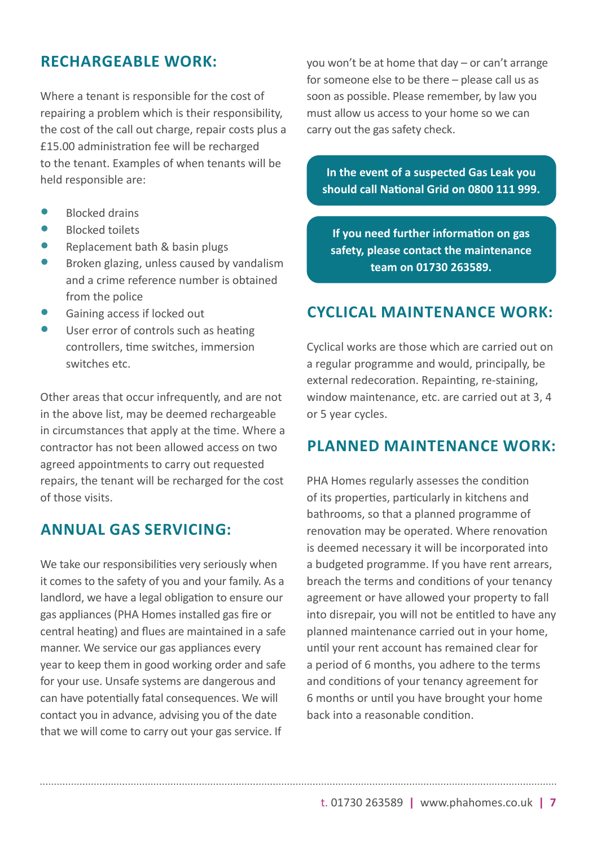#### **RECHARGEABLE WORK:**

Where a tenant is responsible for the cost of repairing a problem which is their responsibility, the cost of the call out charge, repair costs plus a £15.00 administration fee will be recharged to the tenant. Examples of when tenants will be held responsible are:

- **•** Blocked drains
- **•** Blocked toilets
- **•** Replacement bath & basin plugs
- **•** Broken glazing, unless caused by vandalism and a crime reference number is obtained from the police
- **•** Gaining access if locked out
- **•** User error of controls such as heating controllers, time switches, immersion switches etc.

Other areas that occur infrequently, and are not in the above list, may be deemed rechargeable in circumstances that apply at the time. Where a contractor has not been allowed access on two agreed appointments to carry out requested repairs, the tenant will be recharged for the cost of those visits.

### **ANNUAL GAS SERVICING:**

We take our responsibilities very seriously when it comes to the safety of you and your family. As a landlord, we have a legal obligation to ensure our gas appliances (PHA Homes installed gas fire or central heating) and flues are maintained in a safe manner. We service our gas appliances every year to keep them in good working order and safe for your use. Unsafe systems are dangerous and can have potentially fatal consequences. We will contact you in advance, advising you of the date that we will come to carry out your gas service. If

you won't be at home that day – or can't arrange for someone else to be there – please call us as soon as possible. Please remember, by law you must allow us access to your home so we can carry out the gas safety check.

**In the event of a suspected Gas Leak you should call National Grid on 0800 111 999.**

**If you need further information on gas safety, please contact the maintenance team on 01730 263589.**

### **CYCLICAL MAINTENANCE WORK:**

Cyclical works are those which are carried out on a regular programme and would, principally, be external redecoration. Repainting, re-staining, window maintenance, etc. are carried out at 3, 4 or 5 year cycles.

#### **PLANNED MAINTENANCE WORK:**

PHA Homes regularly assesses the condition of its properties, particularly in kitchens and bathrooms, so that a planned programme of renovation may be operated. Where renovation is deemed necessary it will be incorporated into a budgeted programme. If you have rent arrears, breach the terms and conditions of your tenancy agreement or have allowed your property to fall into disrepair, you will not be entitled to have any planned maintenance carried out in your home, until your rent account has remained clear for a period of 6 months, you adhere to the terms and conditions of your tenancy agreement for 6 months or until you have brought your home back into a reasonable condition.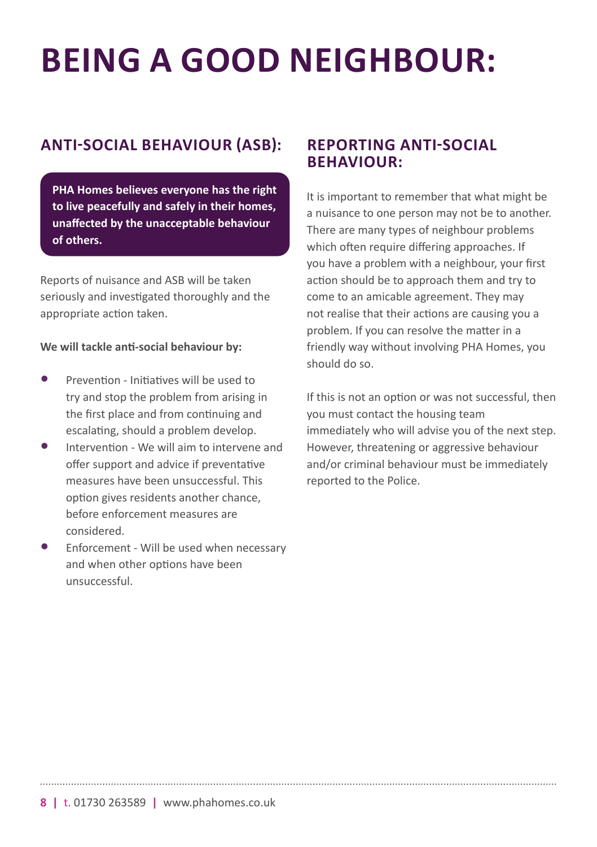# **BEING A GOOD NEIGHBOUR:**

### **ANTI-SOCIAL BEHAVIOUR (ASB):**

**PHA Homes believes everyone has the right to live peacefully and safely in their homes, unaffected by the unacceptable behaviour of others.**

Reports of nuisance and ASB will be taken seriously and investigated thoroughly and the appropriate action taken.

#### **We will tackle anti-social behaviour by:**

- **•** Prevention Initiatives will be used to try and stop the problem from arising in the first place and from continuing and escalating, should a problem develop.
- **•** Intervention We will aim to intervene and offer support and advice if preventative measures have been unsuccessful. This option gives residents another chance, before enforcement measures are considered.
- **•** Enforcement Will be used when necessary and when other options have been unsuccessful.

#### **REPORTING ANTI-SOCIAL BEHAVIOUR:**

It is important to remember that what might be a nuisance to one person may not be to another. There are many types of neighbour problems which often require differing approaches. If you have a problem with a neighbour, your first action should be to approach them and try to come to an amicable agreement. They may not realise that their actions are causing you a problem. If you can resolve the matter in a friendly way without involving PHA Homes, you should do so.

If this is not an option or was not successful, then you must contact the housing team immediately who will advise you of the next step. However, threatening or aggressive behaviour and/or criminal behaviour must be immediately reported to the Police.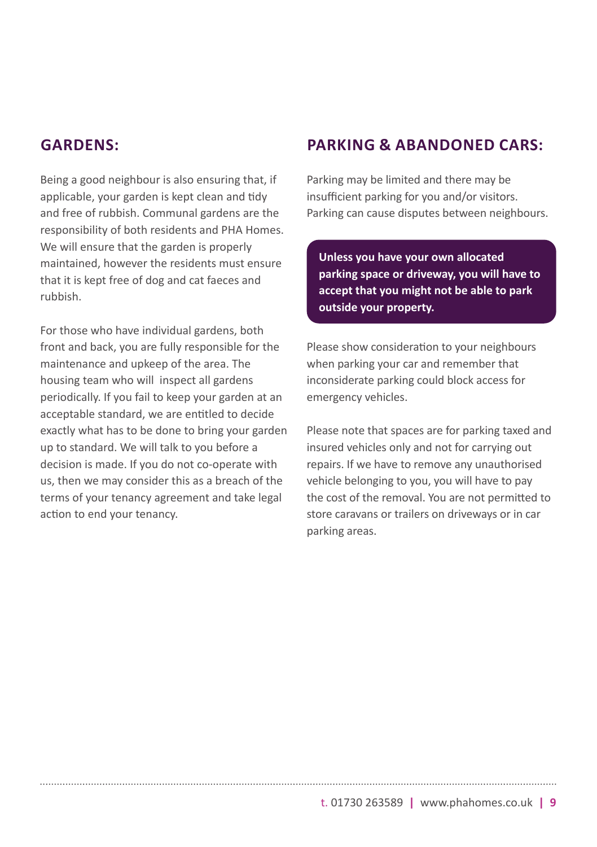#### **GARDENS:**

Being a good neighbour is also ensuring that, if applicable, your garden is kept clean and tidy and free of rubbish. Communal gardens are the responsibility of both residents and PHA Homes. We will ensure that the garden is properly maintained, however the residents must ensure that it is kept free of dog and cat faeces and rubbish.

For those who have individual gardens, both front and back, you are fully responsible for the maintenance and upkeep of the area. The housing team who will inspect all gardens periodically. If you fail to keep your garden at an acceptable standard, we are entitled to decide exactly what has to be done to bring your garden up to standard. We will talk to you before a decision is made. If you do not co-operate with us, then we may consider this as a breach of the terms of your tenancy agreement and take legal action to end your tenancy.

#### **PARKING & ABANDONED CARS:**

Parking may be limited and there may be insufficient parking for you and/or visitors. Parking can cause disputes between neighbours.

**Unless you have your own allocated parking space or driveway, you will have to accept that you might not be able to park outside your property.**

Please show consideration to your neighbours when parking your car and remember that inconsiderate parking could block access for emergency vehicles.

Please note that spaces are for parking taxed and insured vehicles only and not for carrying out repairs. If we have to remove any unauthorised vehicle belonging to you, you will have to pay the cost of the removal. You are not permitted to store caravans or trailers on driveways or in car parking areas.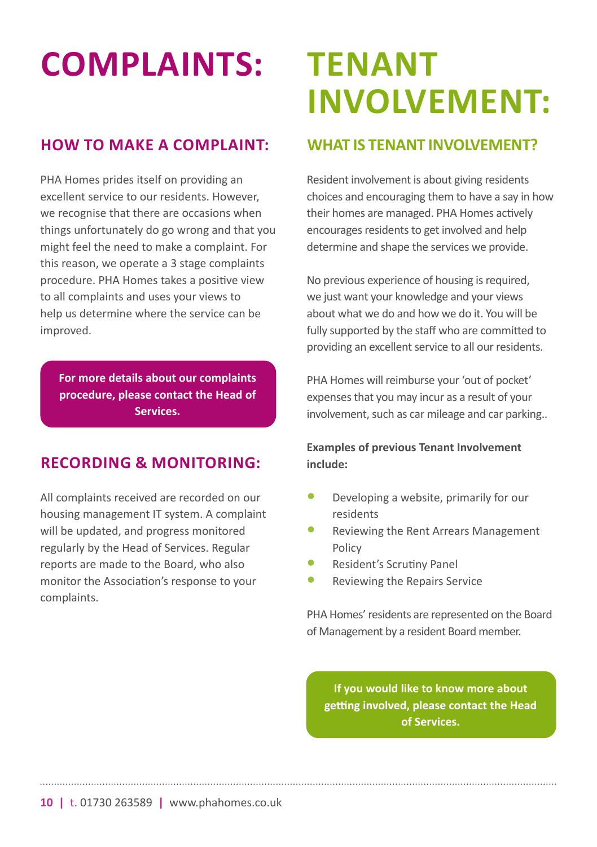# **COMPLAINTS:**

### **HOW TO MAKE A COMPLAINT:**

PHA Homes prides itself on providing an excellent service to our residents. However, we recognise that there are occasions when things unfortunately do go wrong and that you might feel the need to make a complaint. For this reason, we operate a 3 stage complaints procedure. PHA Homes takes a positive view to all complaints and uses your views to help us determine where the service can be improved.

**For more details about our complaints procedure, please contact the Head of Services.**

### **RECORDING & MONITORING:**

All complaints received are recorded on our housing management IT system. A complaint will be updated, and progress monitored regularly by the Head of Services. Regular reports are made to the Board, who also monitor the Association's response to your complaints.

# **TENANT INVOLVEMENT:**

### **WHAT IS TENANT INVOIVEMENT?**

Resident involvement is about giving residents choices and encouraging them to have a say in how their homes are managed. PHA Homes actively encourages residents to get involved and help determine and shape the services we provide.

No previous experience of housing is required, we just want your knowledge and your views about what we do and how we do it. You will be fully supported by the staff who are committed to providing an excellent service to all our residents.

PHA Homes will reimburse your 'out of pocket' expenses that you may incur as a result of your involvement, such as car mileage and car parking..

#### **Examples of previous Tenant Involvement include:**

- **•** Developing a website, primarily for our residents
- **•** Reviewing the Rent Arrears Management Policy
- **•** Resident's Scrutiny Panel
- **•** Reviewing the Repairs Service

PHA Homes' residents are represented on the Board of Management by a resident Board member.

**If you would like to know more about getting involved, please contact the Head of Services.**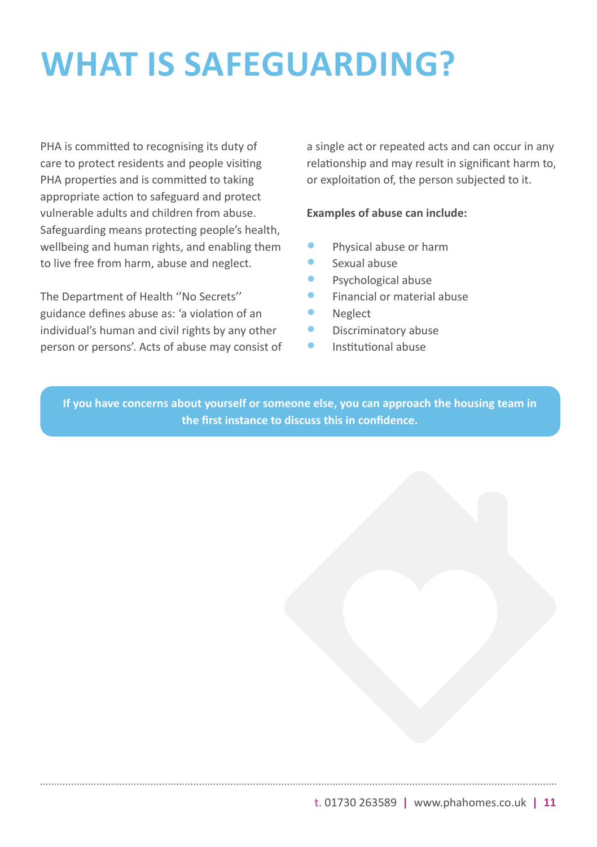# **WHAT IS SAFEGUARDING?**

PHA is committed to recognising its duty of care to protect residents and people visiting PHA properties and is committed to taking appropriate action to safeguard and protect vulnerable adults and children from abuse. Safeguarding means protecting people's health, wellbeing and human rights, and enabling them to live free from harm, abuse and neglect.

The Department of Health ''No Secrets'' guidance defines abuse as: 'a violation of an individual's human and civil rights by any other person or persons'. Acts of abuse may consist of a single act or repeated acts and can occur in any relationship and may result in significant harm to, or exploitation of, the person subjected to it.

#### **Examples of abuse can include:**

- **•** Physical abuse or harm
- **•** Sexual abuse
- **•** Psychological abuse
- **•** Financial or material abuse
- **•** Neglect
- **•** Discriminatory abuse
- **•** Institutional abuse

**If you have concerns about yourself or someone else, you can approach the housing team in the first instance to discuss this in confidence.**